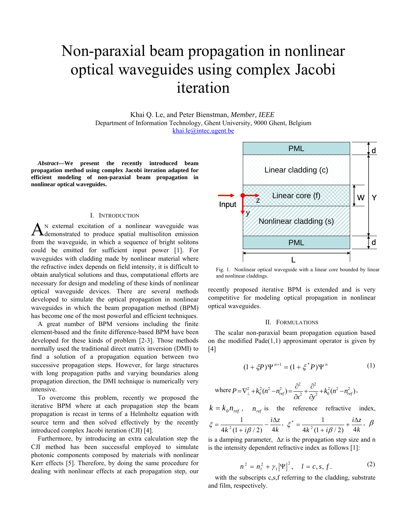# Non-paraxial beam propagation in nonlinear optical waveguides using complex Jacobi iteration

Khai Q. Le, and Peter Bienstman, *Member, IEEE*  Department of Information Technology, Ghent University, 9000 Ghent, Belgium [khai.le@intec.ugent.be](mailto:khai.le@intec.ugent.be)

*Abstract***—We present the recently introduced beam propagation method using complex Jacobi iteration adapted for efficient modeling of non-paraxial beam propagation in nonlinear optical waveguides.** 

#### I. INTRODUCTION

N external excitation of a nonlinear waveguide was  $A_{\text{demonstrated}}$  to produce spatial multisoliton emission from the waveguide, in which a sequence of bright solitons could be emitted for sufficient input power [1]. For waveguides with cladding made by nonlinear material where the refractive index depends on field intensity, it is difficult to obtain analytical solutions and thus, computational efforts are necessary for design and modeling of these kinds of nonlinear optical waveguide devices. There are several methods developed to simulate the optical propagation in nonlinear waveguides in which the beam propagation method (BPM) has become one of the most powerful and efficient techniques.

A great number of BPM versions including the finite element-based and the finite difference-based BPM have been developed for these kinds of problem [2-3]. Those methods normally used the traditional direct matrix inversion (DMI) to find a solution of a propagation equation between two successive propagation steps. However, for large structures with long propagation paths and varying boundaries along propagation direction, the DMI technique is numerically very intensive.

To overcome this problem, recently we proposed the iterative BPM where at each propagation step the beam propagation is recast in terms of a Helmholtz equation with source term and then solved effectively by the recently introduced complex Jacobi iteration (CJI) [4].

Furthermore, by introducing an extra calculation step the CJI method has been successful employed to simulate photonic components composed by materials with nonlinear Kerr effects [5]. Therefore, by doing the same procedure for dealing with nonlinear effects at each propagation step, our



Fig. 1. Nonlinear optical waveguide with a linear core bounded by linear and nonlinear claddings.

recently proposed iterative BPM is extended and is very competitive for modeling optical propagation in nonlinear optical waveguides.

## II. FORMULATIONS

The scalar non-paraxial beam propagation equation based on the modified  $Pade(1,1)$  approximant operator is given by [4]

$$
(1 + \xi P)\Psi^{n+1} = (1 + \xi^* P)\Psi^n
$$
 (1)

where 
$$
P = \nabla_{\perp}^2 + k_0^2 (n^2 - n_{ref}^2) = \frac{\partial^2}{\partial x^2} + \frac{\partial^2}{\partial y^2} + k_0^2 (n^2 - n_{ref}^2)
$$
,

$$
k = k_0 n_{ref}, \quad n_{ref} \text{ is the reference refractive index,}
$$
\n
$$
\xi = \frac{1}{4k^2(1 + i\beta/2)} - \frac{i\Delta z}{4k}, \quad \xi^* = \frac{1}{4k^2(1 + i\beta/2)} + \frac{i\Delta z}{4k}, \quad \beta
$$

is a damping parameter, ∆z is the propagation step size and n is the intensity dependent refractive index as follows [1]:

$$
n^{2} = n_{l}^{2} + \gamma_{l} |\Psi|^{2}, \quad l = c, s, f.
$$
 (2)

with the subscripts c, s, f referring to the cladding, substrate and film, respectively.